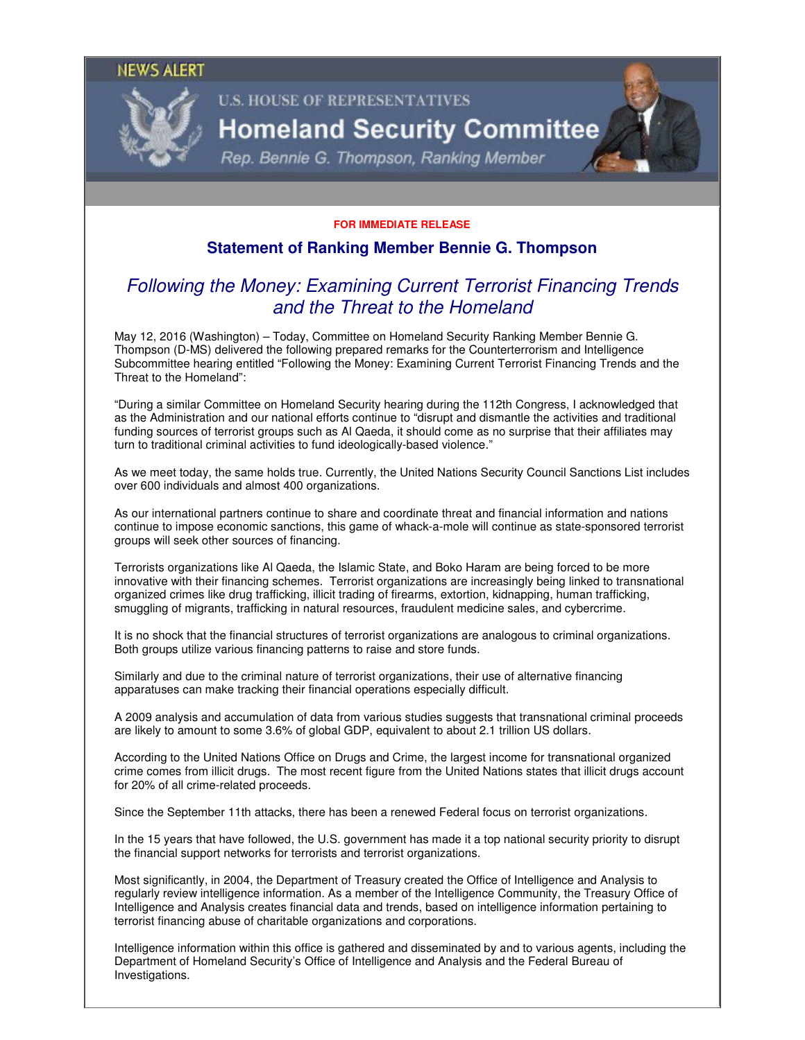## **NEWS ALERT**



# **U.S. HOUSE OF REPRESENTATIVES**

# **Homeland Security Committee**

Rep. Bennie G. Thompson, Ranking Member

#### **FOR IMMEDIATE RELEASE**

## **Statement of Ranking Member Bennie G. Thompson**

## Following the Money: Examining Current Terrorist Financing Trends and the Threat to the Homeland

May 12, 2016 (Washington) – Today, Committee on Homeland Security Ranking Member Bennie G. Thompson (D-MS) delivered the following prepared remarks for the Counterterrorism and Intelligence Subcommittee hearing entitled "Following the Money: Examining Current Terrorist Financing Trends and the Threat to the Homeland":

"During a similar Committee on Homeland Security hearing during the 112th Congress, I acknowledged that as the Administration and our national efforts continue to "disrupt and dismantle the activities and traditional funding sources of terrorist groups such as Al Qaeda, it should come as no surprise that their affiliates may turn to traditional criminal activities to fund ideologically-based violence."

As we meet today, the same holds true. Currently, the United Nations Security Council Sanctions List includes over 600 individuals and almost 400 organizations.

As our international partners continue to share and coordinate threat and financial information and nations continue to impose economic sanctions, this game of whack-a-mole will continue as state-sponsored terrorist groups will seek other sources of financing.

Terrorists organizations like Al Qaeda, the Islamic State, and Boko Haram are being forced to be more innovative with their financing schemes. Terrorist organizations are increasingly being linked to transnational organized crimes like drug trafficking, illicit trading of firearms, extortion, kidnapping, human trafficking, smuggling of migrants, trafficking in natural resources, fraudulent medicine sales, and cybercrime.

It is no shock that the financial structures of terrorist organizations are analogous to criminal organizations. Both groups utilize various financing patterns to raise and store funds.

Similarly and due to the criminal nature of terrorist organizations, their use of alternative financing apparatuses can make tracking their financial operations especially difficult.

A 2009 analysis and accumulation of data from various studies suggests that transnational criminal proceeds are likely to amount to some 3.6% of global GDP, equivalent to about 2.1 trillion US dollars.

According to the United Nations Office on Drugs and Crime, the largest income for transnational organized crime comes from illicit drugs. The most recent figure from the United Nations states that illicit drugs account for 20% of all crime-related proceeds.

Since the September 11th attacks, there has been a renewed Federal focus on terrorist organizations.

In the 15 years that have followed, the U.S. government has made it a top national security priority to disrupt the financial support networks for terrorists and terrorist organizations.

Most significantly, in 2004, the Department of Treasury created the Office of Intelligence and Analysis to regularly review intelligence information. As a member of the Intelligence Community, the Treasury Office of Intelligence and Analysis creates financial data and trends, based on intelligence information pertaining to terrorist financing abuse of charitable organizations and corporations.

Intelligence information within this office is gathered and disseminated by and to various agents, including the Department of Homeland Security's Office of Intelligence and Analysis and the Federal Bureau of Investigations.